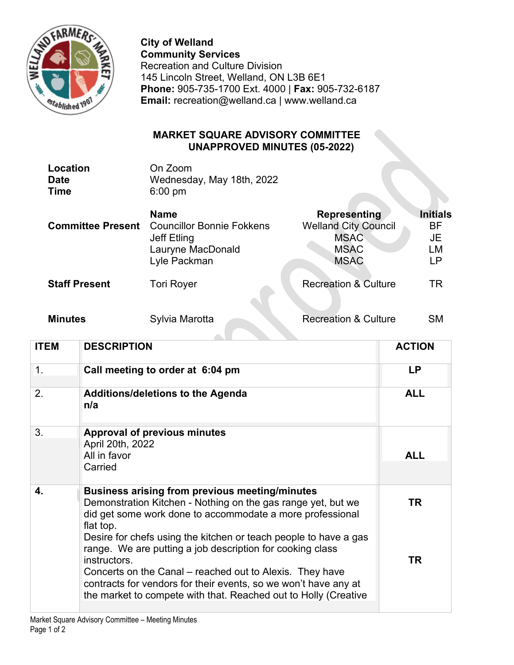

**City of Welland Community Services** Recreation and Culture Division 145 Lincoln Street, Welland, ON L3B 6E1 **Phone:** 905-735-1700 Ext. 4000 | **Fax:** 905-732-6187 **Email:** recreation@welland.ca | www.welland.ca

## **MARKET SQUARE ADVISORY COMMITTEE UNAPPROVED MINUTES (05-2022)**

| Location | On Zoom                   |
|----------|---------------------------|
| Date     | Wednesday, May 18th, 2022 |
| Time     | $6:00 \text{ pm}$         |

| <b>Committee Present</b> | <b>Name</b>                      | <b>Representing</b>             | <b>Initials</b> |
|--------------------------|----------------------------------|---------------------------------|-----------------|
|                          | <b>Councillor Bonnie Fokkens</b> | <b>Welland City Council</b>     | <b>BF</b>       |
|                          | Jeff Etling                      | <b>MSAC</b>                     | JE              |
|                          | Lauryne MacDonald                | <b>MSAC</b>                     | LM              |
|                          | Lyle Packman                     | <b>MSAC</b>                     | LР              |
| <b>Staff Present</b>     | <b>Tori Royer</b>                | <b>Recreation &amp; Culture</b> | TR              |

**Minutes** Sylvia Marotta Recreation & Culture SM

| <b>ITEM</b> | <b>DESCRIPTION</b>                                                                                                                                                                                                                                                                                                                              | <b>ACTION</b> |
|-------------|-------------------------------------------------------------------------------------------------------------------------------------------------------------------------------------------------------------------------------------------------------------------------------------------------------------------------------------------------|---------------|
| 1.          | Call meeting to order at 6:04 pm                                                                                                                                                                                                                                                                                                                | <b>LP</b>     |
| 2.          | <b>Additions/deletions to the Agenda</b><br>n/a                                                                                                                                                                                                                                                                                                 | <b>ALL</b>    |
| 3.          | <b>Approval of previous minutes</b><br>April 20th, 2022<br>All in favor                                                                                                                                                                                                                                                                         | <b>ALL</b>    |
|             | Carried                                                                                                                                                                                                                                                                                                                                         |               |
| 4.          | <b>Business arising from previous meeting/minutes</b><br>Demonstration Kitchen - Nothing on the gas range yet, but we<br>did get some work done to accommodate a more professional<br>flat top.                                                                                                                                                 | TR            |
|             | Desire for chefs using the kitchen or teach people to have a gas<br>range. We are putting a job description for cooking class<br>instructors.<br>Concerts on the Canal – reached out to Alexis. They have<br>contracts for vendors for their events, so we won't have any at<br>the market to compete with that. Reached out to Holly (Creative | <b>TR</b>     |